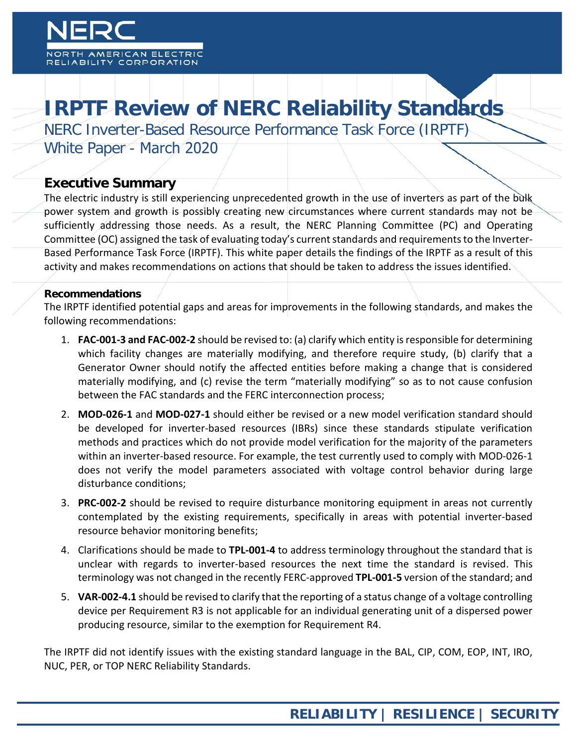**MERICAN ELECTRI ABILITY CORPORATION** 

# **IRPTF Review of NERC Reliability Standards**

NERC Inverter-Based Resource Performance Task Force (IRPTF)

White Paper - March 2020

#### **Executive Summary**

The electric industry is still experiencing unprecedented growth in the use of inverters as part of the bulk power system and growth is possibly creating new circumstances where current standards may not be sufficiently addressing those needs. As a result, the NERC Planning Committee (PC) and Operating Committee (OC) assigned the task of evaluating today's current standards and requirements to the Inverter-Based Performance Task Force (IRPTF). This white paper details the findings of the IRPTF as a result of this activity and makes recommendations on actions that should be taken to address the issues identified.

#### **Recommendations**

The IRPTF identified potential gaps and areas for improvements in the following standards, and makes the following recommendations:

- 1. **FAC-001-3 and FAC-002-2** should be revised to: (a) clarify which entity is responsible for determining which facility changes are materially modifying, and therefore require study, (b) clarify that a Generator Owner should notify the affected entities before making a change that is considered materially modifying, and (c) revise the term "materially modifying" so as to not cause confusion between the FAC standards and the FERC interconnection process;
- 2. **MOD-026-1** and **MOD-027-1** should either be revised or a new model verification standard should be developed for inverter-based resources (IBRs) since these standards stipulate verification methods and practices which do not provide model verification for the majority of the parameters within an inverter-based resource. For example, the test currently used to comply with MOD-026-1 does not verify the model parameters associated with voltage control behavior during large disturbance conditions;
- 3. **PRC-002-2** should be revised to require disturbance monitoring equipment in areas not currently contemplated by the existing requirements, specifically in areas with potential inverter-based resource behavior monitoring benefits;
- 4. Clarifications should be made to **TPL-001-4** to address terminology throughout the standard that is unclear with regards to inverter-based resources the next time the standard is revised. This terminology was not changed in the recently FERC-approved **TPL-001-5** version of the standard; and
- 5. **VAR-002-4.1** should be revised to clarify that the reporting of a status change of a voltage controlling device per Requirement R3 is not applicable for an individual generating unit of a dispersed power producing resource, similar to the exemption for Requirement R4.

The IRPTF did not identify issues with the existing standard language in the BAL, CIP, COM, EOP, INT, IRO, NUC, PER, or TOP NERC Reliability Standards.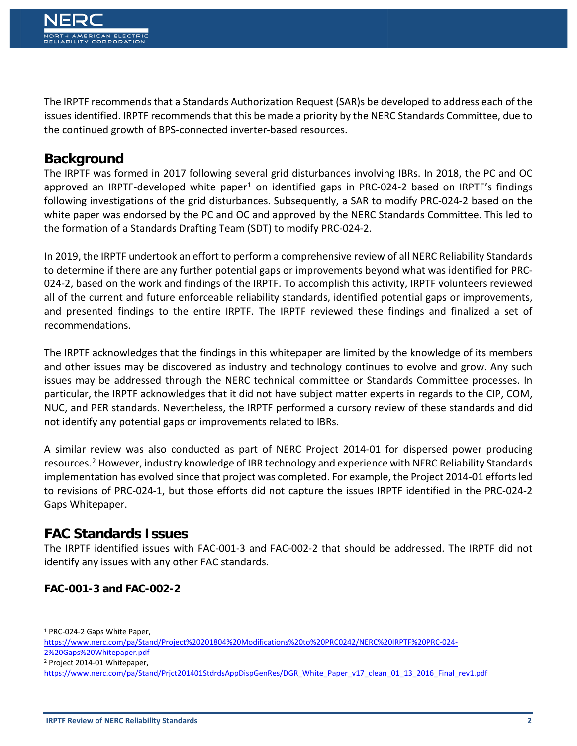The IRPTF recommends that a Standards Authorization Request (SAR)s be developed to address each of the issues identified. IRPTF recommends that this be made a priority by the NERC Standards Committee, due to the continued growth of BPS-connected inverter-based resources.

# **Background**

The IRPTF was formed in 2017 following several grid disturbances involving IBRs. In 2018, the PC and OC approved an IRPTF-developed white paper<sup>[1](#page-1-0)</sup> on identified gaps in PRC-024-2 based on IRPTF's findings following investigations of the grid disturbances. Subsequently, a SAR to modify PRC-024-2 based on the white paper was endorsed by the PC and OC and approved by the NERC Standards Committee. This led to the formation of a Standards Drafting Team (SDT) to modify PRC-024-2.

In 2019, the IRPTF undertook an effort to perform a comprehensive review of all NERC Reliability Standards to determine if there are any further potential gaps or improvements beyond what was identified for PRC-024-2, based on the work and findings of the IRPTF. To accomplish this activity, IRPTF volunteers reviewed all of the current and future enforceable reliability standards, identified potential gaps or improvements, and presented findings to the entire IRPTF. The IRPTF reviewed these findings and finalized a set of recommendations.

The IRPTF acknowledges that the findings in this whitepaper are limited by the knowledge of its members and other issues may be discovered as industry and technology continues to evolve and grow. Any such issues may be addressed through the NERC technical committee or Standards Committee processes. In particular, the IRPTF acknowledges that it did not have subject matter experts in regards to the CIP, COM, NUC, and PER standards. Nevertheless, the IRPTF performed a cursory review of these standards and did not identify any potential gaps or improvements related to IBRs.

A similar review was also conducted as part of NERC Project 2014-01 for dispersed power producing resources.<sup>[2](#page-1-1)</sup> However, industry knowledge of IBR technology and experience with NERC Reliability Standards implementation has evolved since that project was completed. For example, the Project 2014-01 efforts led to revisions of PRC-024-1, but those efforts did not capture the issues IRPTF identified in the PRC-024-2 Gaps Whitepaper.

### **FAC Standards Issues**

The IRPTF identified issues with FAC-001-3 and FAC-002-2 that should be addressed. The IRPTF did not identify any issues with any other FAC standards.

#### **FAC-001-3 and FAC-002-2**

<span id="page-1-0"></span>1 PRC-024-2 Gaps White Paper,

<span id="page-1-1"></span><sup>2</sup> Project 2014-01 Whitepaper,

[https://www.nerc.com/pa/Stand/Project%20201804%20Modifications%20to%20PRC0242/NERC%20IRPTF%20PRC-024-](https://www.nerc.com/pa/Stand/Project%20201804%20Modifications%20to%20PRC0242/NERC%20IRPTF%20PRC-024-2%20Gaps%20Whitepaper.pdf) [2%20Gaps%20Whitepaper.pdf](https://www.nerc.com/pa/Stand/Project%20201804%20Modifications%20to%20PRC0242/NERC%20IRPTF%20PRC-024-2%20Gaps%20Whitepaper.pdf)

[https://www.nerc.com/pa/Stand/Prjct201401StdrdsAppDispGenRes/DGR\\_White\\_Paper\\_v17\\_clean\\_01\\_13\\_2016\\_Final\\_rev1.pdf](https://www.nerc.com/pa/Stand/Prjct201401StdrdsAppDispGenRes/DGR_White_Paper_v17_clean_01_13_2016_Final_rev1.pdf)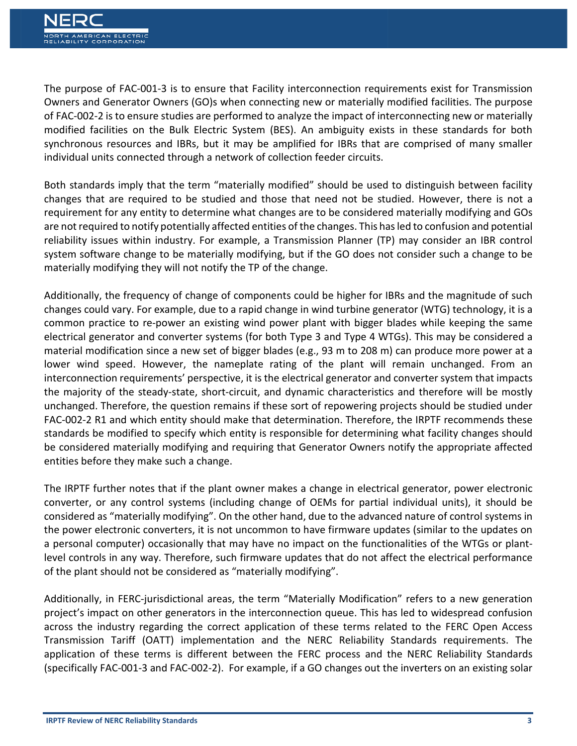The purpose of FAC-001-3 is to ensure that Facility interconnection requirements exist for Transmission Owners and Generator Owners (GO)s when connecting new or materially modified facilities. The purpose of FAC-002-2 is to ensure studies are performed to analyze the impact of interconnecting new or materially modified facilities on the Bulk Electric System (BES). An ambiguity exists in these standards for both synchronous resources and IBRs, but it may be amplified for IBRs that are comprised of many smaller individual units connected through a network of collection feeder circuits.

Both standards imply that the term "materially modified" should be used to distinguish between facility changes that are required to be studied and those that need not be studied. However, there is not a requirement for any entity to determine what changes are to be considered materially modifying and GOs are not required to notify potentially affected entities of the changes. This has led to confusion and potential reliability issues within industry. For example, a Transmission Planner (TP) may consider an IBR control system software change to be materially modifying, but if the GO does not consider such a change to be materially modifying they will not notify the TP of the change.

Additionally, the frequency of change of components could be higher for IBRs and the magnitude of such changes could vary. For example, due to a rapid change in wind turbine generator (WTG) technology, it is a common practice to re-power an existing wind power plant with bigger blades while keeping the same electrical generator and converter systems (for both Type 3 and Type 4 WTGs). This may be considered a material modification since a new set of bigger blades (e.g., 93 m to 208 m) can produce more power at a lower wind speed. However, the nameplate rating of the plant will remain unchanged. From an interconnection requirements' perspective, it is the electrical generator and converter system that impacts the majority of the steady-state, short-circuit, and dynamic characteristics and therefore will be mostly unchanged. Therefore, the question remains if these sort of repowering projects should be studied under FAC-002-2 R1 and which entity should make that determination. Therefore, the IRPTF recommends these standards be modified to specify which entity is responsible for determining what facility changes should be considered materially modifying and requiring that Generator Owners notify the appropriate affected entities before they make such a change.

The IRPTF further notes that if the plant owner makes a change in electrical generator, power electronic converter, or any control systems (including change of OEMs for partial individual units), it should be considered as "materially modifying". On the other hand, due to the advanced nature of control systems in the power electronic converters, it is not uncommon to have firmware updates (similar to the updates on a personal computer) occasionally that may have no impact on the functionalities of the WTGs or plantlevel controls in any way. Therefore, such firmware updates that do not affect the electrical performance of the plant should not be considered as "materially modifying".

Additionally, in FERC-jurisdictional areas, the term "Materially Modification" refers to a new generation project's impact on other generators in the interconnection queue. This has led to widespread confusion across the industry regarding the correct application of these terms related to the FERC Open Access Transmission Tariff (OATT) implementation and the NERC Reliability Standards requirements. The application of these terms is different between the FERC process and the NERC Reliability Standards (specifically FAC-001-3 and FAC-002-2). For example, if a GO changes out the inverters on an existing solar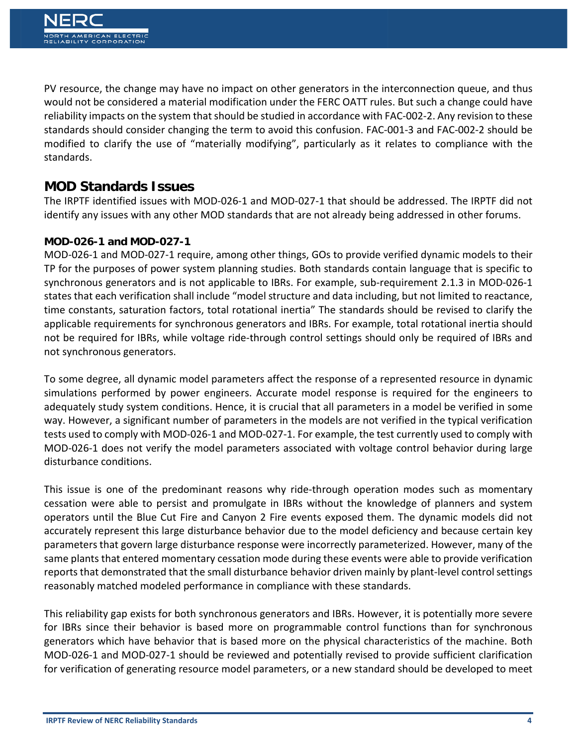PV resource, the change may have no impact on other generators in the interconnection queue, and thus would not be considered a material modification under the FERC OATT rules. But such a change could have reliability impacts on the system that should be studied in accordance with FAC-002-2. Any revision to these standards should consider changing the term to avoid this confusion. FAC-001-3 and FAC-002-2 should be modified to clarify the use of "materially modifying", particularly as it relates to compliance with the standards.

### **MOD Standards Issues**

The IRPTF identified issues with MOD-026-1 and MOD-027-1 that should be addressed. The IRPTF did not identify any issues with any other MOD standards that are not already being addressed in other forums.

#### **MOD-026-1 and MOD-027-1**

MOD-026-1 and MOD-027-1 require, among other things, GOs to provide verified dynamic models to their TP for the purposes of power system planning studies. Both standards contain language that is specific to synchronous generators and is not applicable to IBRs. For example, sub-requirement 2.1.3 in MOD-026-1 states that each verification shall include "model structure and data including, but not limited to reactance, time constants, saturation factors, total rotational inertia" The standards should be revised to clarify the applicable requirements for synchronous generators and IBRs. For example, total rotational inertia should not be required for IBRs, while voltage ride-through control settings should only be required of IBRs and not synchronous generators.

To some degree, all dynamic model parameters affect the response of a represented resource in dynamic simulations performed by power engineers. Accurate model response is required for the engineers to adequately study system conditions. Hence, it is crucial that all parameters in a model be verified in some way. However, a significant number of parameters in the models are not verified in the typical verification tests used to comply with MOD-026-1 and MOD-027-1. For example, the test currently used to comply with MOD-026-1 does not verify the model parameters associated with voltage control behavior during large disturbance conditions.

This issue is one of the predominant reasons why ride-through operation modes such as momentary cessation were able to persist and promulgate in IBRs without the knowledge of planners and system operators until the Blue Cut Fire and Canyon 2 Fire events exposed them. The dynamic models did not accurately represent this large disturbance behavior due to the model deficiency and because certain key parameters that govern large disturbance response were incorrectly parameterized. However, many of the same plants that entered momentary cessation mode during these events were able to provide verification reports that demonstrated that the small disturbance behavior driven mainly by plant-level control settings reasonably matched modeled performance in compliance with these standards.

This reliability gap exists for both synchronous generators and IBRs. However, it is potentially more severe for IBRs since their behavior is based more on programmable control functions than for synchronous generators which have behavior that is based more on the physical characteristics of the machine. Both MOD-026-1 and MOD-027-1 should be reviewed and potentially revised to provide sufficient clarification for verification of generating resource model parameters, or a new standard should be developed to meet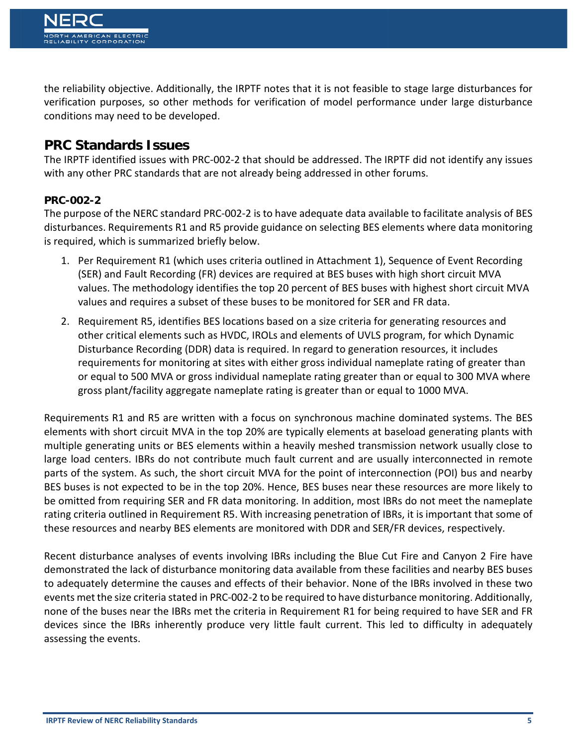the reliability objective. Additionally, the IRPTF notes that it is not feasible to stage large disturbances for verification purposes, so other methods for verification of model performance under large disturbance conditions may need to be developed.

## **PRC Standards Issues**

The IRPTF identified issues with PRC-002-2 that should be addressed. The IRPTF did not identify any issues with any other PRC standards that are not already being addressed in other forums.

#### **PRC-002-2**

The purpose of the NERC standard PRC-002-2 is to have adequate data available to facilitate analysis of BES disturbances. Requirements R1 and R5 provide guidance on selecting BES elements where data monitoring is required, which is summarized briefly below.

- 1. Per Requirement R1 (which uses criteria outlined in Attachment 1), Sequence of Event Recording (SER) and Fault Recording (FR) devices are required at BES buses with high short circuit MVA values. The methodology identifies the top 20 percent of BES buses with highest short circuit MVA values and requires a subset of these buses to be monitored for SER and FR data.
- 2. Requirement R5, identifies BES locations based on a size criteria for generating resources and other critical elements such as HVDC, IROLs and elements of UVLS program, for which Dynamic Disturbance Recording (DDR) data is required. In regard to generation resources, it includes requirements for monitoring at sites with either gross individual nameplate rating of greater than or equal to 500 MVA or gross individual nameplate rating greater than or equal to 300 MVA where gross plant/facility aggregate nameplate rating is greater than or equal to 1000 MVA.

Requirements R1 and R5 are written with a focus on synchronous machine dominated systems. The BES elements with short circuit MVA in the top 20% are typically elements at baseload generating plants with multiple generating units or BES elements within a heavily meshed transmission network usually close to large load centers. IBRs do not contribute much fault current and are usually interconnected in remote parts of the system. As such, the short circuit MVA for the point of interconnection (POI) bus and nearby BES buses is not expected to be in the top 20%. Hence, BES buses near these resources are more likely to be omitted from requiring SER and FR data monitoring. In addition, most IBRs do not meet the nameplate rating criteria outlined in Requirement R5. With increasing penetration of IBRs, it is important that some of these resources and nearby BES elements are monitored with DDR and SER/FR devices, respectively.

Recent disturbance analyses of events involving IBRs including the Blue Cut Fire and Canyon 2 Fire have demonstrated the lack of disturbance monitoring data available from these facilities and nearby BES buses to adequately determine the causes and effects of their behavior. None of the IBRs involved in these two events met the size criteria stated in PRC-002-2 to be required to have disturbance monitoring. Additionally, none of the buses near the IBRs met the criteria in Requirement R1 for being required to have SER and FR devices since the IBRs inherently produce very little fault current. This led to difficulty in adequately assessing the events.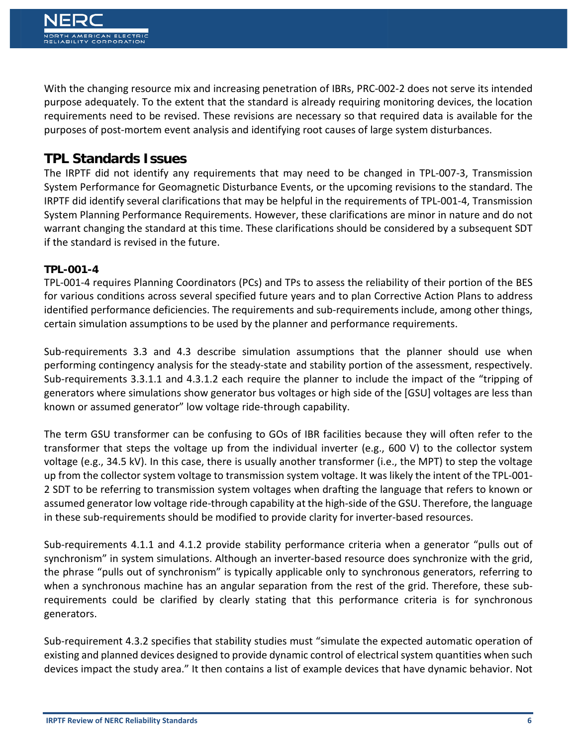With the changing resource mix and increasing penetration of IBRs, PRC-002-2 does not serve its intended purpose adequately. To the extent that the standard is already requiring monitoring devices, the location requirements need to be revised. These revisions are necessary so that required data is available for the purposes of post-mortem event analysis and identifying root causes of large system disturbances.

# **TPL Standards Issues**

The IRPTF did not identify any requirements that may need to be changed in TPL-007-3, Transmission System Performance for Geomagnetic Disturbance Events, or the upcoming revisions to the standard. The IRPTF did identify several clarifications that may be helpful in the requirements of TPL-001-4, Transmission System Planning Performance Requirements. However, these clarifications are minor in nature and do not warrant changing the standard at this time. These clarifications should be considered by a subsequent SDT if the standard is revised in the future.

#### **TPL-001-4**

TPL-001-4 requires Planning Coordinators (PCs) and TPs to assess the reliability of their portion of the BES for various conditions across several specified future years and to plan Corrective Action Plans to address identified performance deficiencies. The requirements and sub-requirements include, among other things, certain simulation assumptions to be used by the planner and performance requirements.

Sub-requirements 3.3 and 4.3 describe simulation assumptions that the planner should use when performing contingency analysis for the steady-state and stability portion of the assessment, respectively. Sub-requirements 3.3.1.1 and 4.3.1.2 each require the planner to include the impact of the "tripping of generators where simulations show generator bus voltages or high side of the [GSU] voltages are less than known or assumed generator" low voltage ride-through capability.

The term GSU transformer can be confusing to GOs of IBR facilities because they will often refer to the transformer that steps the voltage up from the individual inverter (e.g., 600 V) to the collector system voltage (e.g., 34.5 kV). In this case, there is usually another transformer (i.e., the MPT) to step the voltage up from the collector system voltage to transmission system voltage. It was likely the intent of the TPL-001- 2 SDT to be referring to transmission system voltages when drafting the language that refers to known or assumed generator low voltage ride-through capability at the high-side of the GSU. Therefore, the language in these sub-requirements should be modified to provide clarity for inverter-based resources.

Sub-requirements 4.1.1 and 4.1.2 provide stability performance criteria when a generator "pulls out of synchronism" in system simulations. Although an inverter-based resource does synchronize with the grid, the phrase "pulls out of synchronism" is typically applicable only to synchronous generators, referring to when a synchronous machine has an angular separation from the rest of the grid. Therefore, these subrequirements could be clarified by clearly stating that this performance criteria is for synchronous generators.

Sub-requirement 4.3.2 specifies that stability studies must "simulate the expected automatic operation of existing and planned devices designed to provide dynamic control of electrical system quantities when such devices impact the study area." It then contains a list of example devices that have dynamic behavior. Not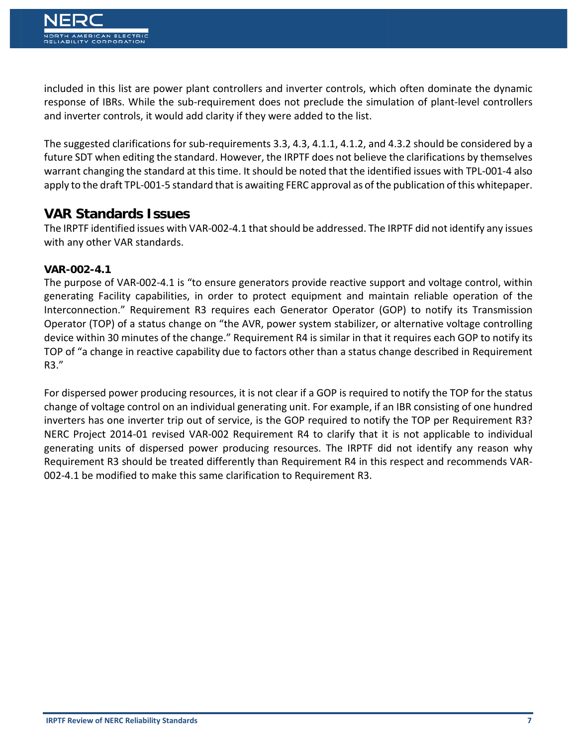included in this list are power plant controllers and inverter controls, which often dominate the dynamic response of IBRs. While the sub-requirement does not preclude the simulation of plant-level controllers and inverter controls, it would add clarity if they were added to the list.

The suggested clarifications for sub-requirements 3.3, 4.3, 4.1.1, 4.1.2, and 4.3.2 should be considered by a future SDT when editing the standard. However, the IRPTF does not believe the clarifications by themselves warrant changing the standard at this time. It should be noted that the identified issues with TPL-001-4 also apply to the draft TPL-001-5 standard that is awaiting FERC approval as of the publication of this whitepaper.

# **VAR Standards Issues**

The IRPTF identified issues with VAR-002-4.1 that should be addressed. The IRPTF did not identify any issues with any other VAR standards.

#### **VAR-002-4.1**

The purpose of VAR-002-4.1 is "to ensure generators provide reactive support and voltage control, within generating Facility capabilities, in order to protect equipment and maintain reliable operation of the Interconnection." Requirement R3 requires each Generator Operator (GOP) to notify its Transmission Operator (TOP) of a status change on "the AVR, power system stabilizer, or alternative voltage controlling device within 30 minutes of the change." Requirement R4 is similar in that it requires each GOP to notify its TOP of "a change in reactive capability due to factors other than a status change described in Requirement R3."

For dispersed power producing resources, it is not clear if a GOP is required to notify the TOP for the status change of voltage control on an individual generating unit. For example, if an IBR consisting of one hundred inverters has one inverter trip out of service, is the GOP required to notify the TOP per Requirement R3? NERC Project 2014-01 revised VAR-002 Requirement R4 to clarify that it is not applicable to individual generating units of dispersed power producing resources. The IRPTF did not identify any reason why Requirement R3 should be treated differently than Requirement R4 in this respect and recommends VAR-002-4.1 be modified to make this same clarification to Requirement R3.